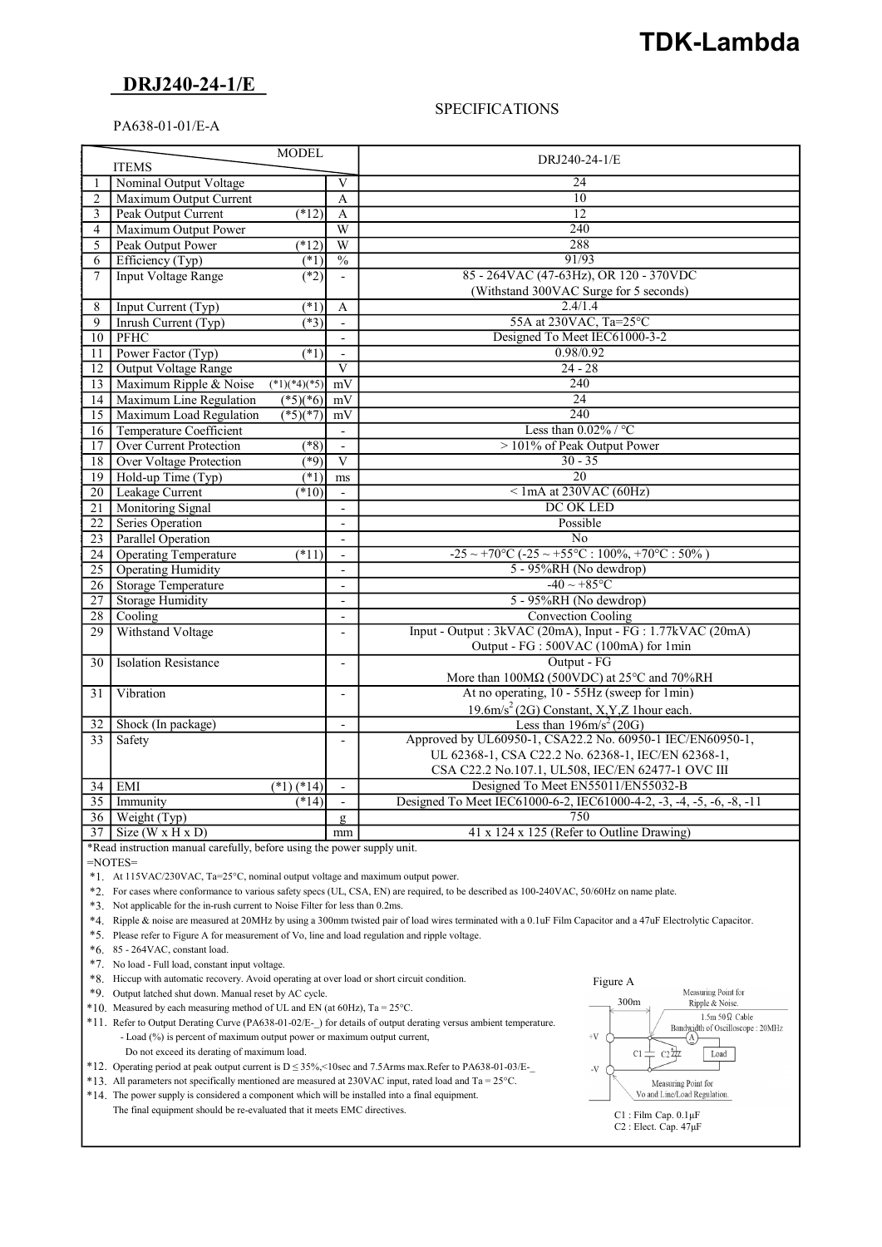# TDK-Lambda

## DRJ240-24-1/E

#### **SPECIFICATIONS**

#### PA638-01-01/E-A

| <b>MODEL</b>    |                                |                          |                          |                                                                               |
|-----------------|--------------------------------|--------------------------|--------------------------|-------------------------------------------------------------------------------|
| <b>ITEMS</b>    |                                |                          |                          | DRJ240-24-1/E                                                                 |
|                 | Nominal Output Voltage         |                          | V                        | 24                                                                            |
| 2               | Maximum Output Current         |                          | $\mathbf{A}$             | 10                                                                            |
| $\overline{3}$  | Peak Output Current            | (12)                     | A                        | 12                                                                            |
| $\overline{4}$  | Maximum Output Power           |                          | W                        | 240                                                                           |
| 5               | Peak Output Power              | $(*12)$                  | W                        | 288                                                                           |
| 6               | Efficiency (Typ)               | (1)                      | $\overline{\frac{0}{0}}$ | 91/93                                                                         |
| 7               | <b>Input Voltage Range</b>     | (2)                      |                          | 85 - 264VAC (47-63Hz), OR 120 - 370VDC                                        |
|                 |                                |                          |                          | (Withstand 300VAC Surge for 5 seconds)                                        |
| 8               | Input Current (Typ)            | $(*1)$                   | A                        | 2.4/1.4                                                                       |
| $\overline{9}$  | Inrush Current (Typ)           | $(*3)$                   | $\blacksquare$           | 55A at 230VAC, Ta=25°C                                                        |
| 10              | PFHC                           |                          |                          | Designed To Meet IEC61000-3-2                                                 |
| 11              | Power Factor (Typ)             | $(*1)$                   | $\overline{\phantom{a}}$ | 0.98/0.92                                                                     |
| $12-12$         | Output Voltage Range           |                          | V                        | $24 - 28$                                                                     |
| 13              | Maximum Ripple & Noise         | $(*1)(*4)(*5)$           | mV                       | 240                                                                           |
| 14              | Maximum Line Regulation        | $(*5)(*6)$               | mV                       | $\overline{24}$                                                               |
| 15              | Maximum Load Regulation        | $\sqrt{5(1+7)}$          | mV                       | 240                                                                           |
|                 | 16 Temperature Coefficient     |                          |                          | Less than $0.02\%$ / °C                                                       |
| 17              | <b>Over Current Protection</b> | $(*8)$                   | $\blacksquare$           | > 101% of Peak Output Power                                                   |
| 18 <sup>1</sup> | Over Voltage Protection        | $(*9)$                   | V                        | $30 - 35$                                                                     |
| 19              | Hold-up Time (Typ)             | (1)                      | ms                       | $\overline{20}$                                                               |
| 20              | Leakage Current                | (10)                     | $\blacksquare$           | $\le$ 1mA at 230VAC (60Hz)                                                    |
| 21              | <b>Monitoring Signal</b>       |                          |                          | DC OK LED                                                                     |
| 22              | Series Operation               |                          | $\overline{\phantom{a}}$ | Possible                                                                      |
| 23              | <b>Parallel Operation</b>      |                          | $\blacksquare$           | No                                                                            |
| 24              | <b>Operating Temperature</b>   | $(*11)$                  | $\blacksquare$           | $-25 \sim +70\degree C (-25 \sim +55\degree C : 100\% + 70\degree C : 50\% )$ |
| 25              | <b>Operating Humidity</b>      |                          | $\overline{\phantom{m}}$ | 5 - 95%RH (No dewdrop)                                                        |
| 26              | <b>Storage Temperature</b>     |                          | $\overline{\phantom{a}}$ | $-40 \sim +85$ °C                                                             |
| 27              | <b>Storage Humidity</b>        |                          | $\overline{a}$           | 5 - 95%RH (No dewdrop)                                                        |
| 28              | Cooling                        |                          | $\blacksquare$           | <b>Convection Cooling</b>                                                     |
| 29              | Withstand Voltage              |                          | $\overline{a}$           | Input - Output : 3kVAC (20mA), Input - FG : 1.77kVAC (20mA)                   |
|                 |                                |                          |                          | Output - FG : 500VAC (100mA) for 1min                                         |
| 30              | <b>Isolation Resistance</b>    |                          | $\overline{\phantom{a}}$ | Output - FG                                                                   |
|                 |                                |                          |                          | More than 100MΩ (500VDC) at 25°C and 70%RH                                    |
| 31              | Vibration                      |                          | $\overline{\phantom{a}}$ | At no operating, 10 - 55Hz (sweep for 1min)                                   |
|                 |                                |                          |                          | $19.6 \text{m/s}^2$ (2G) Constant, X, Y, Z 1 hour each.                       |
| 32              | Shock (In package)             |                          | $\overline{\phantom{a}}$ | Less than $196 \text{m/s}^2$ (20G)                                            |
| 33              | Safety                         |                          | $\blacksquare$           | Approved by UL60950-1, CSA22.2 No. 60950-1 IEC/EN60950-1,                     |
|                 |                                |                          |                          | UL 62368-1, CSA C22.2 No. 62368-1, IEC/EN 62368-1,                            |
|                 |                                |                          |                          | CSA C22.2 No.107.1, UL508, IEC/EN 62477-1 OVC III                             |
| 34              | EMI                            | $\overline{(^*1)(^*14)}$ | $\overline{\phantom{a}}$ | Designed To Meet EN55011/EN55032-B                                            |
| $\overline{35}$ | Immunity                       | (14)                     |                          | Designed To Meet IEC61000-6-2, IEC61000-4-2, -3, -4, -5, -6, -8, -11          |
| 36              | Weight (Typ)                   |                          | g                        | 750                                                                           |
| 37              | $Size(W \times H \times D)$    |                          | mm                       | 41 x 124 x 125 (Refer to Outline Drawing)                                     |

\*Read instruction manual carefully, before using the power supply unit.

 $=$ NOTES $=$ 

\*1. At 115VAC/230VAC, Ta=25°C, nominal output voltage and maximum output power.

\*2. For cases where conformance to various safety specs (UL, CSA, EN) are required, to be described as 100-240VAC, 50/60Hz on name plate.

\*3. Not applicable for the in-rush current to Noise Filter for less than 0.2ms.

\*4. Ripple & noise are measured at 20MHz by using a 300mm twisted pair of load wires terminated with a 0.1uF Film Capacitor and a 47uF Electrolytic Capacitor.

\*5. Please refer to Figure A for measurement of Vo, line and load regulation and ripple voltage.

\*6. 85 - 264VAC, constant load.

\*7. No load - Full load, constant input voltage.

\*8. Hiccup with automatic recovery. Avoid operating at over load or short circuit condition.

\*9. Output latched shut down. Manual reset by AC cycle.

\*10. Measured by each measuring method of UL and EN (at 60Hz), Ta = 25°C.

 \*11. Refer to Output Derating Curve (PA638-01-02/E-\_) for details of output derating versus ambient temperature. - Load (%) is percent of maximum output power or maximum output current,

Do not exceed its derating of maximum load.

\*12. Operating period at peak output current is D ≤ 35%,<10sec and 7.5Arms max.Refer to PA638-01-03/E-\_

 $*13$ . All parameters not specifically mentioned are measured at 230VAC input, rated load and Ta = 25°C.

 \*14. The power supply is considered a component which will be installed into a final equipment. The final equipment should be re-evaluated that it meets EMC directives.

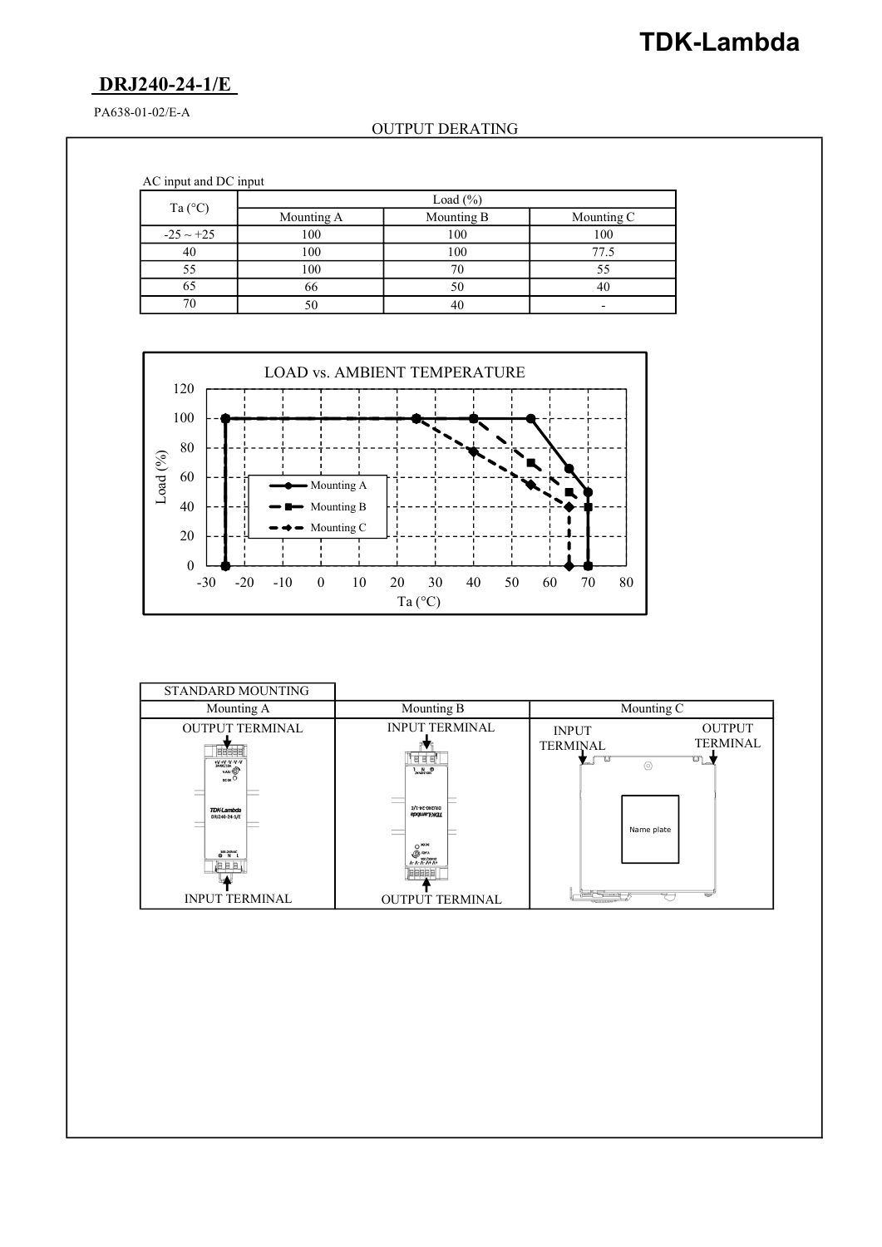# TDK-Lambda

## DRJ240-24-1/E

PA638-01-02/E-A

### OUTPUT DERATING

AC input and DC input

|                  |            | Load $(\% )$ |                          |
|------------------|------------|--------------|--------------------------|
| Ta $(^{\circ}C)$ | Mounting A | Mounting B   | Mounting C               |
| $-25 \sim +25$   | 100        | 100          | 100                      |
| 40               | 100        | 100          | 77.5                     |
|                  | 100        |              |                          |
| 65               | 66         | 50           |                          |
|                  |            | 40           | $\overline{\phantom{0}}$ |



| STANDARD MOUNTING                                                                                                                                                                                                                                                                      |                                                                                                                          |                                                                                                                                                   |  |
|----------------------------------------------------------------------------------------------------------------------------------------------------------------------------------------------------------------------------------------------------------------------------------------|--------------------------------------------------------------------------------------------------------------------------|---------------------------------------------------------------------------------------------------------------------------------------------------|--|
| Mounting A                                                                                                                                                                                                                                                                             | Mounting B                                                                                                               | Mounting C                                                                                                                                        |  |
| <b>OUTPUT TERMINAL</b><br>19999<br>+V +V -V -V -V<br>24VCC/10A<br><b>VADI @</b><br>$oc\alpha$ <sup>O</sup><br>$\overline{\phantom{a}}$<br>$\overline{\phantom{a}}$<br><b>TDK-Lambda</b><br>DRJ240-24-1/E<br>$\overline{\phantom{a}}$<br>$\frac{100-240\pi\lambda C}{N}$<br><b>JEEE</b> | <b>INPUT TERMINAL</b><br>日日日<br>DRIZ40-24-1/E<br>пругуталь<br>$O^{1020}$<br><b>O</b><br><b>VELORING</b><br><b>Jeesse</b> | <b>OUTPUT</b><br><b>INPUT</b><br><b>TERMINAL</b><br><b>TERMINAL</b><br>$\overline{\mathbb{C}}$<br>তা<br>قسم<br>$\circledcirc$<br>šе<br>Name plate |  |
| <b>INPUT TERMINAL</b>                                                                                                                                                                                                                                                                  | <b>OUTPUT TERMINAL</b>                                                                                                   |                                                                                                                                                   |  |